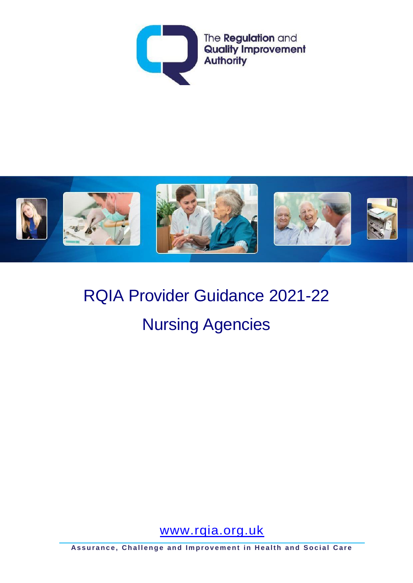



# RQIA Provider Guidance 2021-22 Nursing Agencies

[www.rqia.org.uk](http://www.rqia.org.uk/)

**Assurance, Challenge and Improvement in Health and Social Care**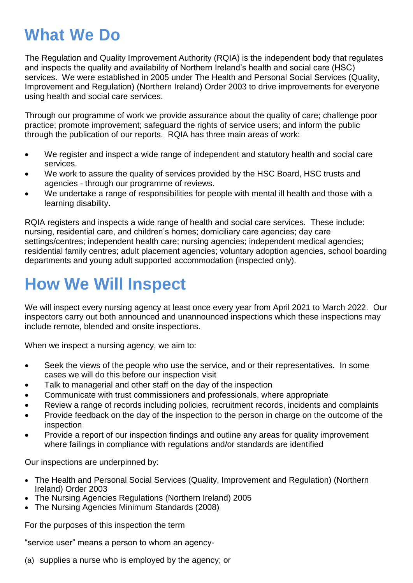# **What We Do**

The Regulation and Quality Improvement Authority (RQIA) is the independent body that regulates and inspects the quality and availability of Northern Ireland's health and social care (HSC) services. We were established in 2005 under The Health and Personal Social Services (Quality, Improvement and Regulation) (Northern Ireland) Order 2003 to drive improvements for everyone using health and social care services.

Through our programme of work we provide assurance about the quality of care; challenge poor practice; promote improvement; safeguard the rights of service users; and inform the public through the publication of our reports. RQIA has three main areas of work:

- We register and inspect a wide range of independent and statutory health and social care services.
- We work to assure the quality of services provided by the HSC Board, HSC trusts and agencies - through our programme of reviews.
- We undertake a range of responsibilities for people with mental ill health and those with a learning disability.

RQIA registers and inspects a wide range of health and social care services. These include: nursing, residential care, and children's homes; domiciliary care agencies; day care settings/centres; independent health care; nursing agencies; independent medical agencies; residential family centres; adult placement agencies; voluntary adoption agencies, school boarding departments and young adult supported accommodation (inspected only).

# **How We Will Inspect**

We will inspect every nursing agency at least once every year from April 2021 to March 2022. Our inspectors carry out both announced and unannounced inspections which these inspections may include remote, blended and onsite inspections.

When we inspect a nursing agency, we aim to:

- Seek the views of the people who use the service, and or their representatives. In some cases we will do this before our inspection visit
- Talk to managerial and other staff on the day of the inspection
- Communicate with trust commissioners and professionals, where appropriate
- Review a range of records including policies, recruitment records, incidents and complaints
- Provide feedback on the day of the inspection to the person in charge on the outcome of the inspection
- Provide a report of our inspection findings and outline any areas for quality improvement where failings in compliance with regulations and/or standards are identified

Our inspections are underpinned by:

- The Health and Personal Social Services (Quality, Improvement and Regulation) (Northern Ireland) Order 2003
- The Nursing Agencies Regulations (Northern Ireland) 2005
- The Nursing Agencies Minimum Standards (2008)

For the purposes of this inspection the term

"service user" means a person to whom an agency-

(a) supplies a nurse who is employed by the agency; or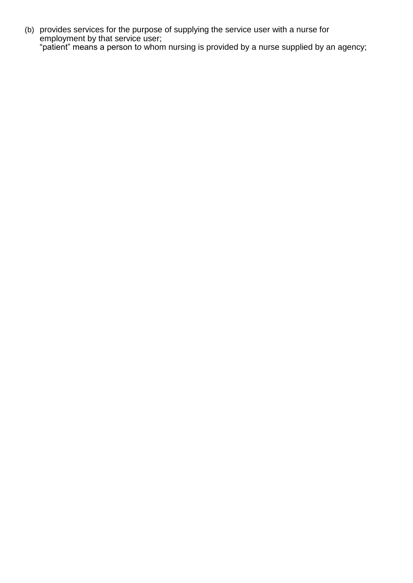(b) provides services for the purpose of supplying the service user with a nurse for employment by that service user; "patient" means a person t*o* whom nursing is provided by a nurse supplied by an agency;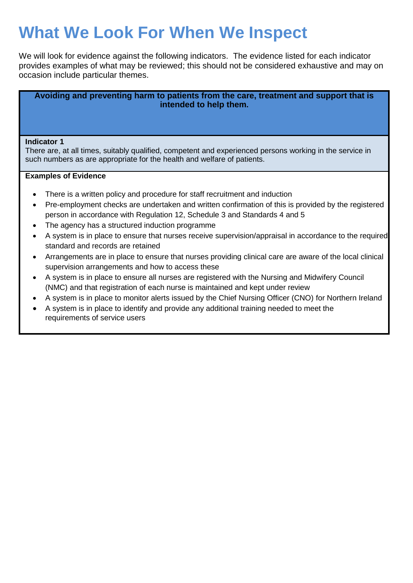# **What We Look For When We Inspect**

We will look for evidence against the following indicators. The evidence listed for each indicator provides examples of what may be reviewed; this should not be considered exhaustive and may on occasion include particular themes.

**Avoiding and preventing harm to patients from the care, treatment and support that is intended to help them.**

#### **Indicator 1**

There are, at all times, suitably qualified, competent and experienced persons working in the service in such numbers as are appropriate for the health and welfare of patients.

- There is a written policy and procedure for staff recruitment and induction
- Pre-employment checks are undertaken and written confirmation of this is provided by the registered person in accordance with Regulation 12, Schedule 3 and Standards 4 and 5
- The agency has a structured induction programme
- A system is in place to ensure that nurses receive supervision/appraisal in accordance to the required standard and records are retained
- Arrangements are in place to ensure that nurses providing clinical care are aware of the local clinical supervision arrangements and how to access these
- A system is in place to ensure all nurses are registered with the Nursing and Midwifery Council (NMC) and that registration of each nurse is maintained and kept under review
- A system is in place to monitor alerts issued by the Chief Nursing Officer (CNO) for Northern Ireland
- A system is in place to identify and provide any additional training needed to meet the requirements of service users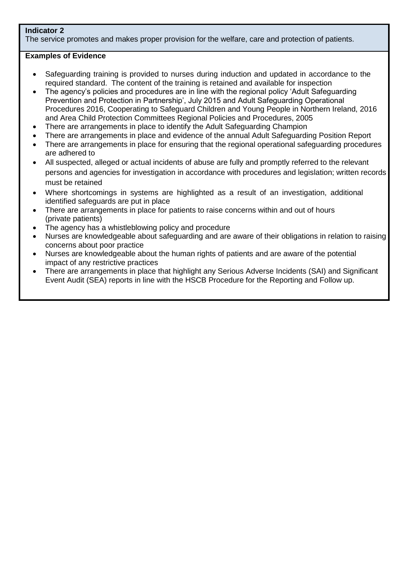# **Indicator 2**

The service promotes and makes proper provision for the welfare, care and protection of patients.

- Safeguarding training is provided to nurses during induction and updated in accordance to the required standard. The content of the training is retained and available for inspection
- The agency's policies and procedures are in line with the regional policy 'Adult Safeguarding Prevention and Protection in Partnership', July 2015 and Adult Safeguarding Operational Procedures 2016, Cooperating to Safeguard Children and Young People in Northern Ireland, 2016 and Area Child Protection Committees Regional Policies and Procedures, 2005
- There are arrangements in place to identify the Adult Safeguarding Champion
- There are arrangements in place and evidence of the annual Adult Safeguarding Position Report
- There are arrangements in place for ensuring that the regional operational safeguarding procedures are adhered to
- All suspected, alleged or actual incidents of abuse are fully and promptly referred to the relevant persons and agencies for investigation in accordance with procedures and legislation; written records must be retained
- Where shortcomings in systems are highlighted as a result of an investigation, additional identified safeguards are put in place
- There are arrangements in place for patients to raise concerns within and out of hours (private patients)
- The agency has a whistleblowing policy and procedure
- Nurses are knowledgeable about safeguarding and are aware of their obligations in relation to raising concerns about poor practice
- Nurses are knowledgeable about the human rights of patients and are aware of the potential impact of any restrictive practices
- There are arrangements in place that highlight any Serious Adverse Incidents (SAI) and Significant Event Audit (SEA) reports in line with the HSCB Procedure for the Reporting and Follow up.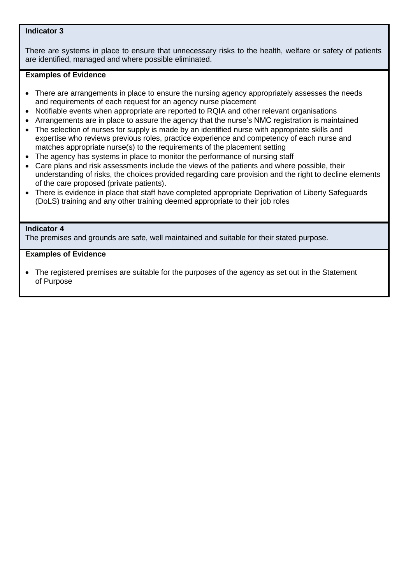# **Indicator 3**

There are systems in place to ensure that unnecessary risks to the health, welfare or safety of patients are identified, managed and where possible eliminated.

# **Examples of Evidence**

- There are arrangements in place to ensure the nursing agency appropriately assesses the needs and requirements of each request for an agency nurse placement
- Notifiable events when appropriate are reported to RQIA and other relevant organisations
- Arrangements are in place to assure the agency that the nurse's NMC registration is maintained
- The selection of nurses for supply is made by an identified nurse with appropriate skills and expertise who reviews previous roles, practice experience and competency of each nurse and matches appropriate nurse(s) to the requirements of the placement setting
- The agency has systems in place to monitor the performance of nursing staff
- Care plans and risk assessments include the views of the patients and where possible, their understanding of risks, the choices provided regarding care provision and the right to decline elements of the care proposed (private patients).
- There is evidence in place that staff have completed appropriate Deprivation of Liberty Safeguards (DoLS) training and any other training deemed appropriate to their job roles

#### **Indicator 4**

The premises and grounds are safe, well maintained and suitable for their stated purpose.

# **Examples of Evidence**

 The registered premises are suitable for the purposes of the agency as set out in the Statement of Purpose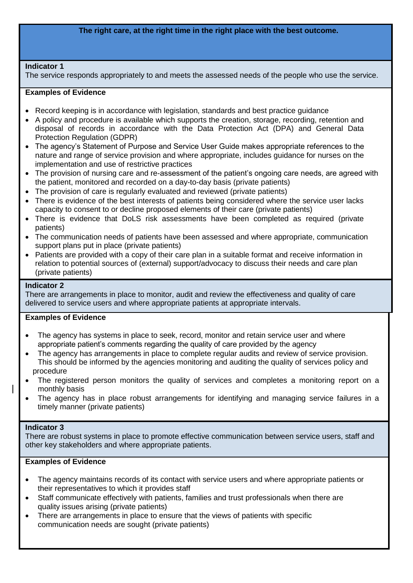# **The right care, at the right time in the right place with the best outcome.**

#### **Indicator 1**

The service responds appropriately to and meets the assessed needs of the people who use the service.

#### **Examples of Evidence**

- Record keeping is in accordance with legislation, standards and best practice guidance
- A policy and procedure is available which supports the creation, storage, recording, retention and disposal of records in accordance with the Data Protection Act (DPA) and General Data Protection Regulation (GDPR)
- The agency's Statement of Purpose and Service User Guide makes appropriate references to the nature and range of service provision and where appropriate, includes guidance for nurses on the implementation and use of restrictive practices
- The provision of nursing care and re-assessment of the patient's ongoing care needs, are agreed with the patient, monitored and recorded on a day-to-day basis (private patients)
- The provision of care is regularly evaluated and reviewed (private patients)
- There is evidence of the best interests of patients being considered where the service user lacks capacity to consent to or decline proposed elements of their care (private patients)
- There is evidence that DoLS risk assessments have been completed as required (private patients)
- The communication needs of patients have been assessed and where appropriate, communication support plans put in place (private patients)
- Patients are provided with a copy of their care plan in a suitable format and receive information in relation to potential sources of (external) support/advocacy to discuss their needs and care plan (private patients)

#### **Indicator 2**

 There are arrangements in place to monitor, audit and review the effectiveness and quality of care delivered to service users and where appropriate patients at appropriate intervals.

#### **Examples of Evidence**

- The agency has systems in place to seek, record, monitor and retain service user and where appropriate patient's comments regarding the quality of care provided by the agency
- The agency has arrangements in place to complete regular audits and review of service provision. This should be informed by the agencies monitoring and auditing the quality of services policy and procedure
- The registered person monitors the quality of services and completes a monitoring report on a monthly basis
- The agency has in place robust arrangements for identifying and managing service failures in a timely manner (private patients)

#### **Indicator 3**

There are robust systems in place to promote effective communication between service users, staff and other key stakeholders and where appropriate patients.

- The agency maintains records of its contact with service users and where appropriate patients or their representatives to which it provides staff
- Staff communicate effectively with patients, families and trust professionals when there are quality issues arising (private patients)
- There are arrangements in place to ensure that the views of patients with specific communication needs are sought (private patients)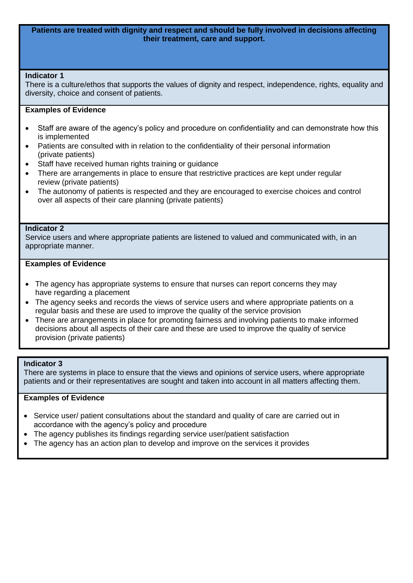#### **Patients are treated with dignity and respect and should be fully involved in decisions affecting their treatment, care and support.**

#### **Indicator 1**

There is a culture/ethos that supports the values of dignity and respect, independence, rights, equality and diversity, choice and consent of patients.

# **Examples of Evidence**

- Staff are aware of the agency's policy and procedure on confidentiality and can demonstrate how this is implemented
- Patients are consulted with in relation to the confidentiality of their personal information (private patients)
- Staff have received human rights training or guidance
- There are arrangements in place to ensure that restrictive practices are kept under regular review (private patients)
- The autonomy of patients is respected and they are encouraged to exercise choices and control over all aspects of their care planning (private patients)

#### **Indicator 2**

Service users and where appropriate patients are listened to valued and communicated with, in an appropriate manner.

#### **Examples of Evidence**

- The agency has appropriate systems to ensure that nurses can report concerns they may have regarding a placement
- The agency seeks and records the views of service users and where appropriate patients on a regular basis and these are used to improve the quality of the service provision
- There are arrangements in place for promoting fairness and involving patients to make informed decisions about all aspects of their care and these are used to improve the quality of service provision (private patients)

#### **Indicator 3**

There are systems in place to ensure that the views and opinions of service users, where appropriate patients and or their representatives are sought and taken into account in all matters affecting them.

- Service user/ patient consultations about the standard and quality of care are carried out in accordance with the agency's policy and procedure
- The agency publishes its findings regarding service user/patient satisfaction
- The agency has an action plan to develop and improve on the services it provides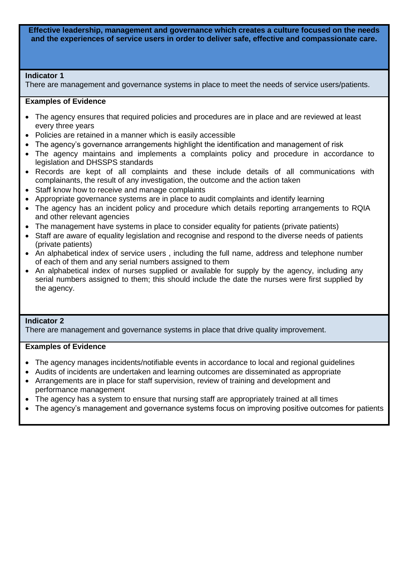**Effective leadership, management and governance which creates a culture focused on the needs and the experiences of service users in order to deliver safe, effective and compassionate care.**

# **Indicator 1**

There are management and governance systems in place to meet the needs of service users/patients.

# **Examples of Evidence**

- The agency ensures that required policies and procedures are in place and are reviewed at least every three years
- Policies are retained in a manner which is easily accessible
- The agency's governance arrangements highlight the identification and management of risk
- The agency maintains and implements a complaints policy and procedure in accordance to legislation and DHSSPS standards
- Records are kept of all complaints and these include details of all communications with complainants, the result of any investigation, the outcome and the action taken
- Staff know how to receive and manage complaints
- Appropriate governance systems are in place to audit complaints and identify learning
- The agency has an incident policy and procedure which details reporting arrangements to RQIA and other relevant agencies
- The management have systems in place to consider equality for patients (private patients)
- Staff are aware of equality legislation and recognise and respond to the diverse needs of patients (private patients)
- An alphabetical index of service users, including the full name, address and telephone number of each of them and any serial numbers assigned to them
- An alphabetical index of nurses supplied or available for supply by the agency, including any serial numbers assigned to them; this should include the date the nurses were first supplied by the agency.

# **Indicator 2**

There are management and governance systems in place that drive quality improvement.

- The agency manages incidents/notifiable events in accordance to local and regional guidelines
- Audits of incidents are undertaken and learning outcomes are disseminated as appropriate
- Arrangements are in place for staff supervision, review of training and development and performance management
- The agency has a system to ensure that nursing staff are appropriately trained at all times
- The agency's management and governance systems focus on improving positive outcomes for patients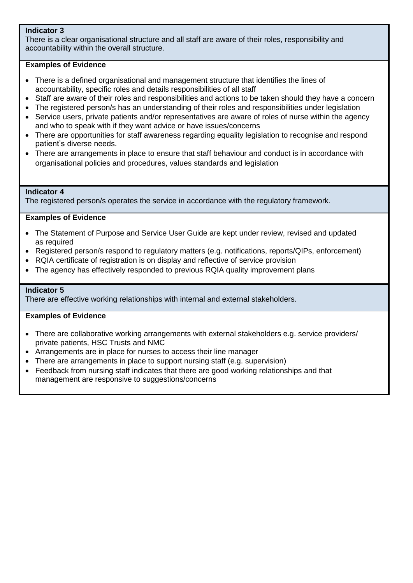# **Indicator 3**

There is a clear organisational structure and all staff are aware of their roles, responsibility and accountability within the overall structure.

# **Examples of Evidence**

- There is a defined organisational and management structure that identifies the lines of accountability, specific roles and details responsibilities of all staff
- Staff are aware of their roles and responsibilities and actions to be taken should they have a concern
- The registered person/s has an understanding of their roles and responsibilities under legislation
- Service users, private patients and/or representatives are aware of roles of nurse within the agency and who to speak with if they want advice or have issues/concerns
- There are opportunities for staff awareness regarding equality legislation to recognise and respond patient's diverse needs.
- There are arrangements in place to ensure that staff behaviour and conduct is in accordance with organisational policies and procedures, values standards and legislation

#### **Indicator 4**

The registered person/s operates the service in accordance with the regulatory framework.

# **Examples of Evidence**

- The Statement of Purpose and Service User Guide are kept under review, revised and updated as required
- Registered person/s respond to regulatory matters (e.g. notifications, reports/QIPs, enforcement)
- RQIA certificate of registration is on display and reflective of service provision
- The agency has effectively responded to previous RQIA quality improvement plans

#### **Indicator 5**

There are effective working relationships with internal and external stakeholders.

- There are collaborative working arrangements with external stakeholders e.g. service providers/ private patients, HSC Trusts and NMC
- Arrangements are in place for nurses to access their line manager
- There are arrangements in place to support nursing staff (e.g. supervision)
- Feedback from nursing staff indicates that there are good working relationships and that management are responsive to suggestions/concerns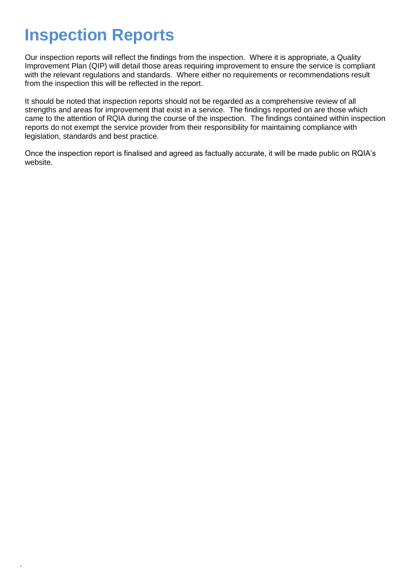# **Inspection Reports**

.

Our inspection reports will reflect the findings from the inspection. Where it is appropriate, a Quality Improvement Plan (QIP) will detail those areas requiring improvement to ensure the service is compliant with the relevant regulations and standards. Where either no requirements or recommendations result from the inspection this will be reflected in the report.

It should be noted that inspection reports should not be regarded as a comprehensive review of all strengths and areas for improvement that exist in a service. The findings reported on are those which came to the attention of RQIA during the course of the inspection. The findings contained within inspection reports do not exempt the service provider from their responsibility for maintaining compliance with legislation, standards and best practice.

Once the inspection report is finalised and agreed as factually accurate, it will be made public on RQIA's website.